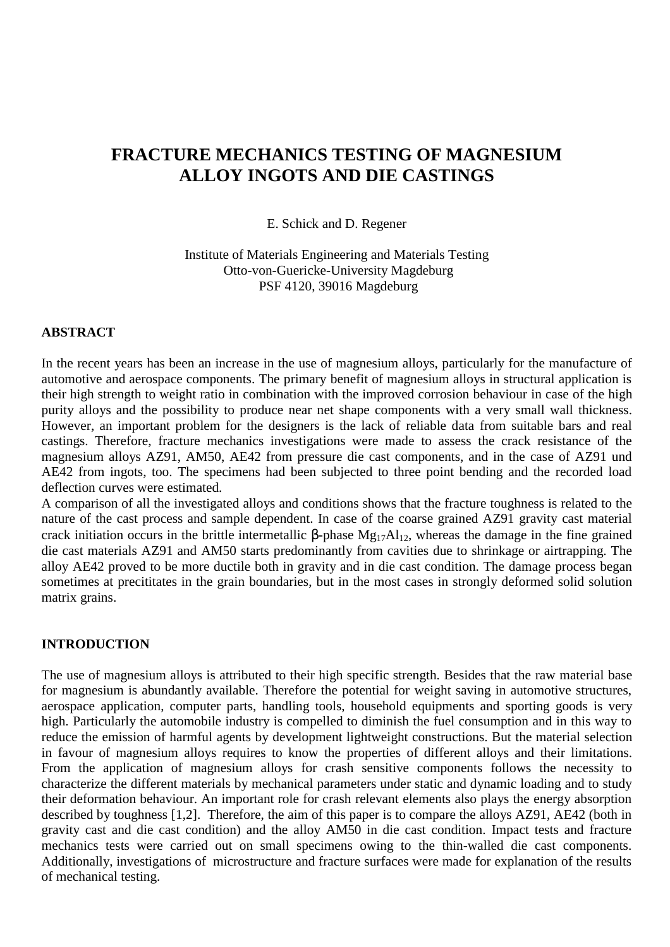# **FRACTURE MECHANICS TESTING OF MAGNESIUM ALLOY INGOTS AND DIE CASTINGS**

E. Schick and D. Regener

Institute of Materials Engineering and Materials Testing Otto-von-Guericke-University Magdeburg PSF 4120, 39016 Magdeburg

#### **ABSTRACT**

In the recent years has been an increase in the use of magnesium alloys, particularly for the manufacture of automotive and aerospace components. The primary benefit of magnesium alloys in structural application is their high strength to weight ratio in combination with the improved corrosion behaviour in case of the high purity alloys and the possibility to produce near net shape components with a very small wall thickness. However, an important problem for the designers is the lack of reliable data from suitable bars and real castings. Therefore, fracture mechanics investigations were made to assess the crack resistance of the magnesium alloys AZ91, AM50, AE42 from pressure die cast components, and in the case of AZ91 und AE42 from ingots, too. The specimens had been subjected to three point bending and the recorded load deflection curves were estimated.

A comparison of all the investigated alloys and conditions shows that the fracture toughness is related to the nature of the cast process and sample dependent. In case of the coarse grained AZ91 gravity cast material crack initiation occurs in the brittle intermetallic β-phase Mg17Al12, whereas the damage in the fine grained die cast materials AZ91 and AM50 starts predominantly from cavities due to shrinkage or airtrapping. The alloy AE42 proved to be more ductile both in gravity and in die cast condition. The damage process began sometimes at precititates in the grain boundaries, but in the most cases in strongly deformed solid solution matrix grains.

#### **INTRODUCTION**

The use of magnesium alloys is attributed to their high specific strength. Besides that the raw material base for magnesium is abundantly available. Therefore the potential for weight saving in automotive structures, aerospace application, computer parts, handling tools, household equipments and sporting goods is very high. Particularly the automobile industry is compelled to diminish the fuel consumption and in this way to reduce the emission of harmful agents by development lightweight constructions. But the material selection in favour of magnesium alloys requires to know the properties of different alloys and their limitations. From the application of magnesium alloys for crash sensitive components follows the necessity to characterize the different materials by mechanical parameters under static and dynamic loading and to study their deformation behaviour. An important role for crash relevant elements also plays the energy absorption described by toughness [1,2]. Therefore, the aim of this paper is to compare the alloys AZ91, AE42 (both in gravity cast and die cast condition) and the alloy AM50 in die cast condition. Impact tests and fracture mechanics tests were carried out on small specimens owing to the thin-walled die cast components. Additionally, investigations of microstructure and fracture surfaces were made for explanation of the results of mechanical testing.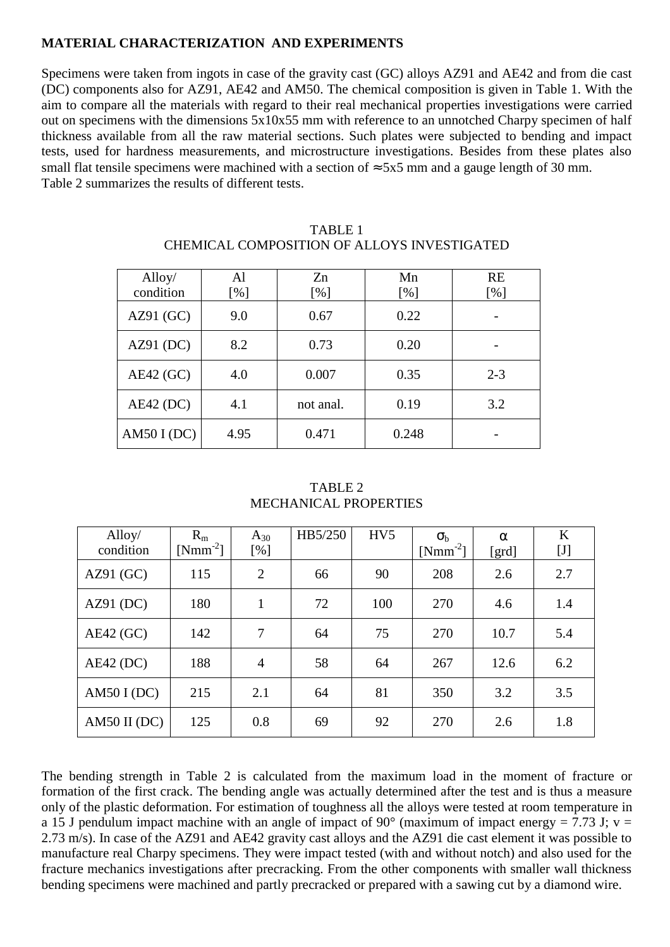## **MATERIAL CHARACTERIZATION AND EXPERIMENTS**

Specimens were taken from ingots in case of the gravity cast (GC) alloys AZ91 and AE42 and from die cast (DC) components also for AZ91, AE42 and AM50. The chemical composition is given in Table 1. With the aim to compare all the materials with regard to their real mechanical properties investigations were carried out on specimens with the dimensions 5x10x55 mm with reference to an unnotched Charpy specimen of half thickness available from all the raw material sections. Such plates were subjected to bending and impact tests, used for hardness measurements, and microstructure investigations. Besides from these plates also small flat tensile specimens were machined with a section of  $\approx$  5x5 mm and a gauge length of 30 mm. Table 2 summarizes the results of different tests.

| Alloy/      | AI   | Zn        | Mn    | <b>RE</b> |
|-------------|------|-----------|-------|-----------|
| condition   | [%]  | [%]       | [%]   | [%]       |
| AZ91(GC)    | 9.0  | 0.67      | 0.22  |           |
| AZ91(DC)    | 8.2  | 0.73      | 0.20  |           |
| $AE42$ (GC) | 4.0  | 0.007     | 0.35  | $2 - 3$   |
| $AE42$ (DC) | 4.1  | not anal. | 0.19  | 3.2       |
| AM50 I (DC) | 4.95 | 0.471     | 0.248 |           |

TABLE 1 CHEMICAL COMPOSITION OF ALLOYS INVESTIGATED

TABLE 2 MECHANICAL PROPERTIES

| Alloy/<br>condition | $R_m$<br>$[Nmm^{-2}]$ | $A_{30}$<br>[%] | HB5/250 | HV <sub>5</sub> | $\sigma_{\rm b}$<br>$[Nmm^{-2}]$ | $\alpha$<br>[grd] | $\bf K$<br>$[J]$ |
|---------------------|-----------------------|-----------------|---------|-----------------|----------------------------------|-------------------|------------------|
| AZ91(GC)            | 115                   | $\overline{2}$  | 66      | 90              | 208                              | 2.6               | 2.7              |
| AZ91(DC)            | 180                   | 1               | 72      | 100             | 270                              | 4.6               | 1.4              |
| $AE42$ (GC)         | 142                   | 7               | 64      | 75              | 270                              | 10.7              | 5.4              |
| $AE42$ (DC)         | 188                   | $\overline{4}$  | 58      | 64              | 267                              | 12.6              | 6.2              |
| AM50 I (DC)         | 215                   | 2.1             | 64      | 81              | 350                              | 3.2               | 3.5              |
| $AM50$ II (DC)      | 125                   | 0.8             | 69      | 92              | 270                              | 2.6               | 1.8              |

The bending strength in Table 2 is calculated from the maximum load in the moment of fracture or formation of the first crack. The bending angle was actually determined after the test and is thus a measure only of the plastic deformation. For estimation of toughness all the alloys were tested at room temperature in a 15 J pendulum impact machine with an angle of impact of 90 $^{\circ}$  (maximum of impact energy = 7.73 J; v = 2.73 m/s). In case of the AZ91 and AE42 gravity cast alloys and the AZ91 die cast element it was possible to manufacture real Charpy specimens. They were impact tested (with and without notch) and also used for the fracture mechanics investigations after precracking. From the other components with smaller wall thickness bending specimens were machined and partly precracked or prepared with a sawing cut by a diamond wire.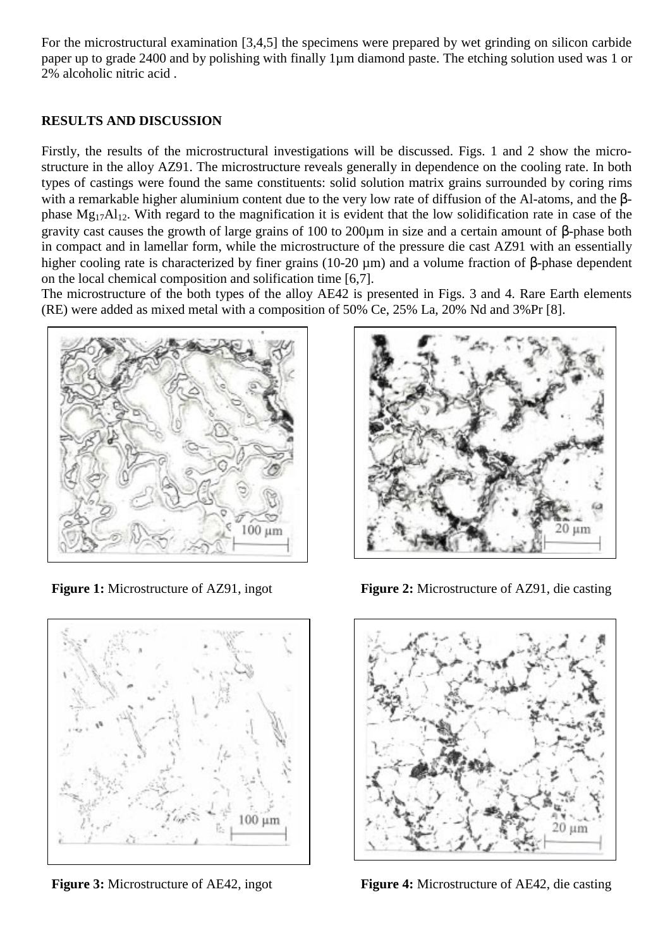For the microstructural examination [3,4,5] the specimens were prepared by wet grinding on silicon carbide paper up to grade 2400 and by polishing with finally 1µm diamond paste. The etching solution used was 1 or 2% alcoholic nitric acid .

## **RESULTS AND DISCUSSION**

Firstly, the results of the microstructural investigations will be discussed. Figs. 1 and 2 show the microstructure in the alloy AZ91. The microstructure reveals generally in dependence on the cooling rate. In both types of castings were found the same constituents: solid solution matrix grains surrounded by coring rims with a remarkable higher aluminium content due to the very low rate of diffusion of the Al-atoms, and the βphase Mg17Al12. With regard to the magnification it is evident that the low solidification rate in case of the gravity cast causes the growth of large grains of 100 to 200µm in size and a certain amount of β-phase both in compact and in lamellar form, while the microstructure of the pressure die cast AZ91 with an essentially higher cooling rate is characterized by finer grains (10-20 µm) and a volume fraction of β-phase dependent on the local chemical composition and solification time [6,7].

The microstructure of the both types of the alloy AE42 is presented in Figs. 3 and 4. Rare Earth elements (RE) were added as mixed metal with a composition of 50% Ce, 25% La, 20% Nd and 3%Pr [8].







**Figure 1:** Microstructure of AZ91, ingot **Figure 2:** Microstructure of AZ91, die casting



**Figure 3:** Microstructure of AE42, ingot **Figure 4:** Microstructure of AE42, die casting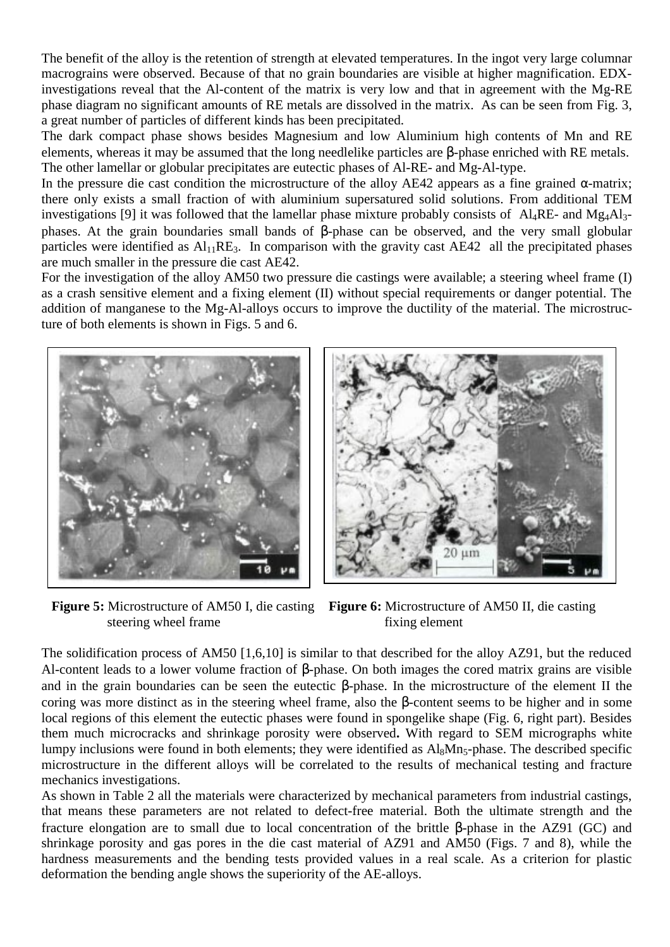The benefit of the alloy is the retention of strength at elevated temperatures. In the ingot very large columnar macrograins were observed. Because of that no grain boundaries are visible at higher magnification. EDXinvestigations reveal that the Al-content of the matrix is very low and that in agreement with the Mg-RE phase diagram no significant amounts of RE metals are dissolved in the matrix. As can be seen from Fig. 3, a great number of particles of different kinds has been precipitated.

The dark compact phase shows besides Magnesium and low Aluminium high contents of Mn and RE elements, whereas it may be assumed that the long needlelike particles are β-phase enriched with RE metals. The other lamellar or globular precipitates are eutectic phases of Al-RE- and Mg-Al-type.

In the pressure die cast condition the microstructure of the alloy AE42 appears as a fine grained  $\alpha$ -matrix; there only exists a small fraction of with aluminium supersatured solid solutions. From additional TEM investigations [9] it was followed that the lamellar phase mixture probably consists of Al<sub>4</sub>RE- and Mg<sub>4</sub>Al<sub>3</sub>phases. At the grain boundaries small bands of β-phase can be observed, and the very small globular particles were identified as  $Al<sub>11</sub>RE<sub>3</sub>$ . In comparison with the gravity cast AE42 all the precipitated phases are much smaller in the pressure die cast AE42.

For the investigation of the alloy AM50 two pressure die castings were available; a steering wheel frame (I) as a crash sensitive element and a fixing element (II) without special requirements or danger potential. The addition of manganese to the Mg-Al-alloys occurs to improve the ductility of the material. The microstructure of both elements is shown in Figs. 5 and 6.



steering wheel frame fixing element



 **Figure 5:** Microstructure of AM50 I, die casting **Figure 6:** Microstructure of AM50 II, die casting

The solidification process of AM50 [1,6,10] is similar to that described for the alloy AZ91, but the reduced Al-content leads to a lower volume fraction of β-phase. On both images the cored matrix grains are visible and in the grain boundaries can be seen the eutectic β-phase. In the microstructure of the element II the coring was more distinct as in the steering wheel frame, also the β-content seems to be higher and in some local regions of this element the eutectic phases were found in spongelike shape (Fig. 6, right part). Besides them much microcracks and shrinkage porosity were observed**.** With regard to SEM micrographs white lumpy inclusions were found in both elements; they were identified as Al<sub>8</sub>Mn<sub>5</sub>-phase. The described specific microstructure in the different alloys will be correlated to the results of mechanical testing and fracture mechanics investigations.

As shown in Table 2 all the materials were characterized by mechanical parameters from industrial castings, that means these parameters are not related to defect-free material. Both the ultimate strength and the fracture elongation are to small due to local concentration of the brittle β-phase in the AZ91 (GC) and shrinkage porosity and gas pores in the die cast material of AZ91 and AM50 (Figs. 7 and 8), while the hardness measurements and the bending tests provided values in a real scale. As a criterion for plastic deformation the bending angle shows the superiority of the AE-alloys.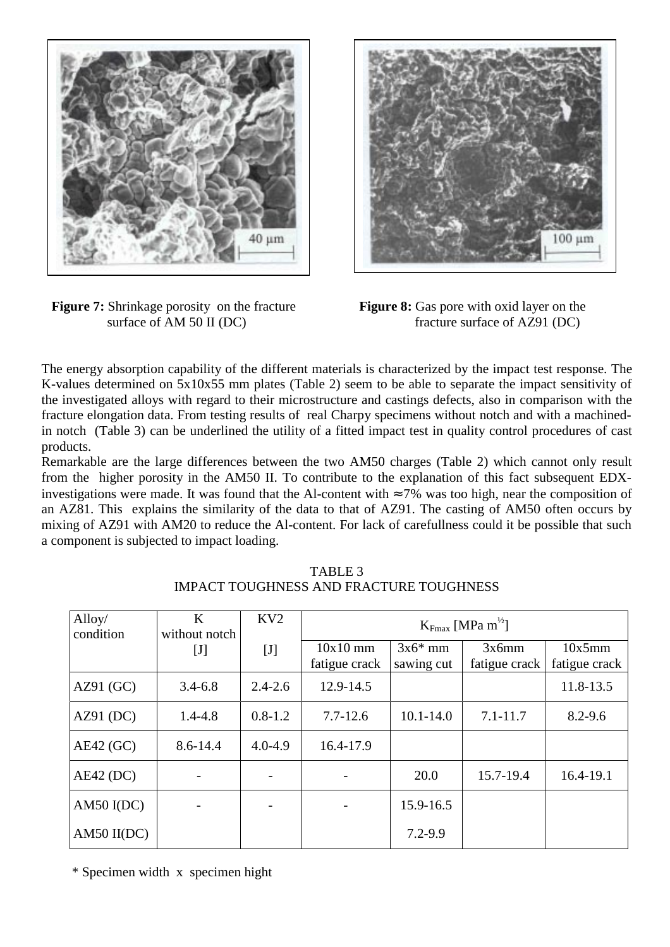

**Figure 7:** Shrinkage porosity on the fracture **Figure 8:** Gas pore with oxid layer on the surface of AM 50 II (DC) fracture surface of AZ91 (DC)



fracture surface of AZ91 (DC)

The energy absorption capability of the different materials is characterized by the impact test response. The K-values determined on 5x10x55 mm plates (Table 2) seem to be able to separate the impact sensitivity of the investigated alloys with regard to their microstructure and castings defects, also in comparison with the fracture elongation data. From testing results of real Charpy specimens without notch and with a machinedin notch (Table 3) can be underlined the utility of a fitted impact test in quality control procedures of cast products.

Remarkable are the large differences between the two AM50 charges (Table 2) which cannot only result from the higher porosity in the AM50 II. To contribute to the explanation of this fact subsequent EDXinvestigations were made. It was found that the Al-content with  $\approx$  7% was too high, near the composition of an AZ81. This explains the similarity of the data to that of AZ91. The casting of AM50 often occurs by mixing of AZ91 with AM20 to reduce the Al-content. For lack of carefullness could it be possible that such a component is subjected to impact loading.

| Alloy/<br>condition | K<br>without notch | KV2         | $K_{Fmax}$ [MPa m <sup>1/2</sup> ] |                         |                        |                         |
|---------------------|--------------------|-------------|------------------------------------|-------------------------|------------------------|-------------------------|
|                     | $[\mathrm{J}]$     | $[J]$       | $10x10$ mm<br>fatigue crack        | $3x6*$ mm<br>sawing cut | 3x6mm<br>fatigue crack | 10x5mm<br>fatigue crack |
| AZ91(GC)            | $3.4 - 6.8$        | $2.4 - 2.6$ | $12.9 - 14.5$                      |                         |                        | 11.8-13.5               |
| AZ91(DC)            | $1.4 - 4.8$        | $0.8 - 1.2$ | $7.7 - 12.6$                       | $10.1 - 14.0$           | $7.1 - 11.7$           | $8.2 - 9.6$             |
| $AE42$ (GC)         | 8.6-14.4           | $4.0 - 4.9$ | 16.4-17.9                          |                         |                        |                         |
| $AE42$ (DC)         |                    |             |                                    | 20.0                    | 15.7-19.4              | 16.4-19.1               |
| AM50 $I(DC)$        |                    |             |                                    | 15.9-16.5               |                        |                         |
| $AM50$ $II(DC)$     |                    |             |                                    | $7.2 - 9.9$             |                        |                         |

TABLE 3 IMPACT TOUGHNESS AND FRACTURE TOUGHNESS

\* Specimen width x specimen hight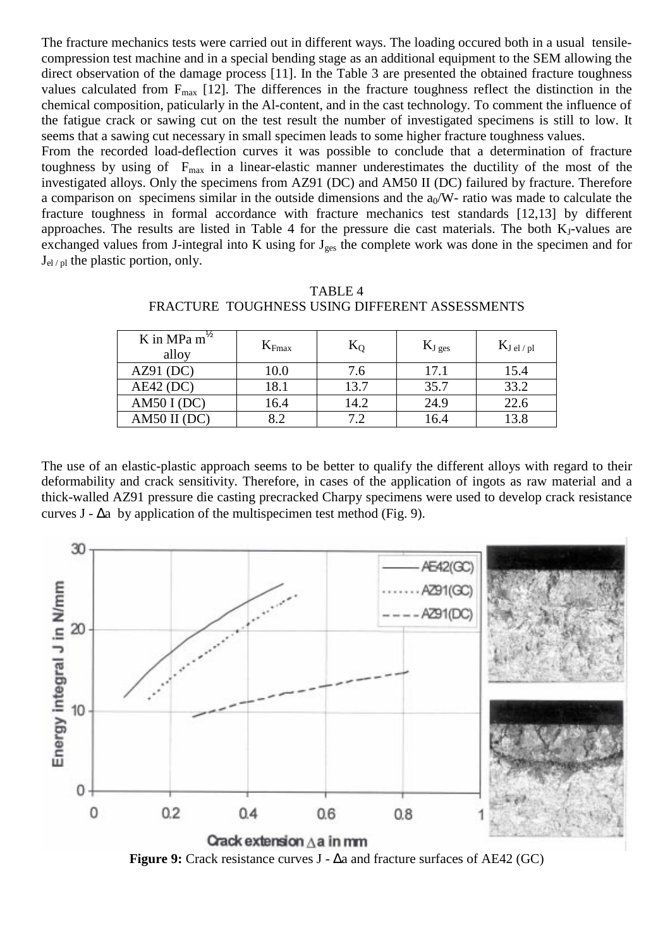The fracture mechanics tests were carried out in different ways. The loading occured both in a usual tensilecompression test machine and in a special bending stage as an additional equipment to the SEM allowing the direct observation of the damage process [11]. In the Table 3 are presented the obtained fracture toughness values calculated from  $F_{\text{max}}$  [12]. The differences in the fracture toughness reflect the distinction in the chemical composition, paticularly in the Al-content, and in the cast technology. To comment the influence of the fatigue crack or sawing cut on the test result the number of investigated specimens is still to low. It seems that a sawing cut necessary in small specimen leads to some higher fracture toughness values.

From the recorded load-deflection curves it was possible to conclude that a determination of fracture toughness by using of  $F_{\text{max}}$  in a linear-elastic manner underestimates the ductility of the most of the investigated alloys. Only the specimens from AZ91 (DC) and AM50 II (DC) failured by fracture. Therefore a comparison on specimens similar in the outside dimensions and the  $a_0/W$ - ratio was made to calculate the fracture toughness in formal accordance with fracture mechanics test standards [12,13] by different approaches. The results are listed in Table 4 for the pressure die cast materials. The both  $K<sub>1</sub>$ -values are exchanged values from J-integral into K using for  $J_{\text{ges}}$  the complete work was done in the specimen and for  $J_{el/pl}$  the plastic portion, only.

| FRACTURE TUUUHINESS USINU DIFFERENT ASSESSMIENTS |                   |         |                    |              |  |
|--------------------------------------------------|-------------------|---------|--------------------|--------------|--|
| K in MPa $m^{\frac{1}{2}}$<br>alloy              | $K_{\text{Fmax}}$ |         | $\mathbf{N}$ J ges | $K_{Jel/pl}$ |  |
| (DC)<br>AZ91                                     | 0.0               | $\cdot$ | 17 1               |              |  |

AE42 (DC) 18.1 13.7 35.7 33.2 AM50 I (DC) 16.4 14.2 24.9 22.6 AM50 II (DC)  $\begin{array}{|c|c|c|c|c|c|c|c|} \hline 8.2 & 7.2 & 16.4 & 13.8 \hline \end{array}$ 

TABLE 4 NECC HEING DIEEEDENT ACCECCMENTS

The use of an elastic-plastic approach seems to be better to qualify the different alloys with regard to their deformability and crack sensitivity. Therefore, in cases of the application of ingots as raw material and a thick-walled AZ91 pressure die casting precracked Charpy specimens were used to develop crack resistance curves J -  $\Delta a$  by application of the multispecimen test method (Fig. 9).



**Figure 9:** Crack resistance curves J - ∆a and fracture surfaces of AE42 (GC)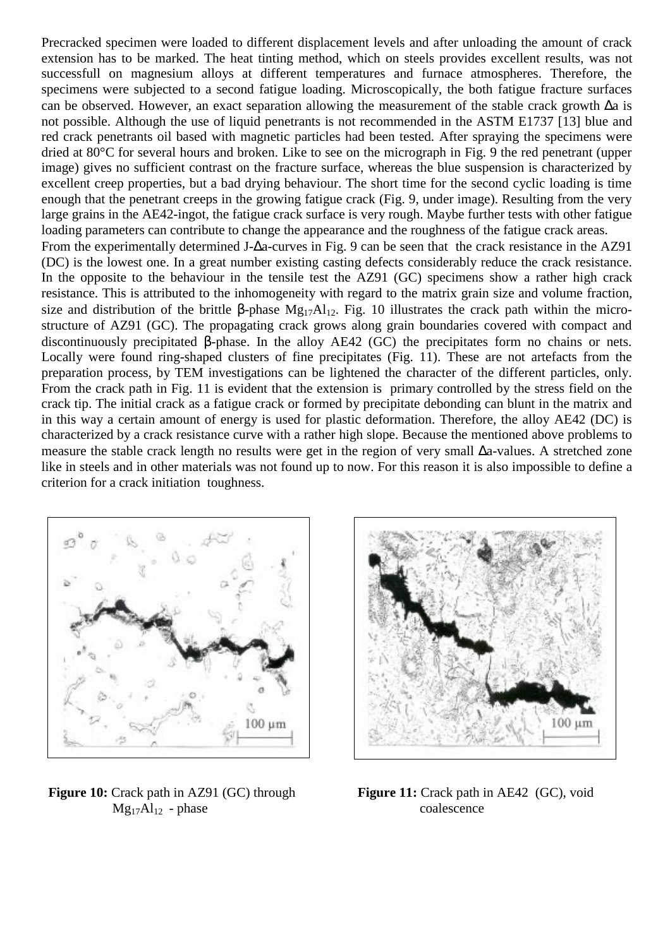Precracked specimen were loaded to different displacement levels and after unloading the amount of crack extension has to be marked. The heat tinting method, which on steels provides excellent results, was not successfull on magnesium alloys at different temperatures and furnace atmospheres. Therefore, the specimens were subjected to a second fatigue loading. Microscopically, the both fatigue fracture surfaces can be observed. However, an exact separation allowing the measurement of the stable crack growth ∆a is not possible. Although the use of liquid penetrants is not recommended in the ASTM E1737 [13] blue and red crack penetrants oil based with magnetic particles had been tested. After spraying the specimens were dried at 80°C for several hours and broken. Like to see on the micrograph in Fig. 9 the red penetrant (upper image) gives no sufficient contrast on the fracture surface, whereas the blue suspension is characterized by excellent creep properties, but a bad drying behaviour. The short time for the second cyclic loading is time enough that the penetrant creeps in the growing fatigue crack (Fig. 9, under image). Resulting from the very large grains in the AE42-ingot, the fatigue crack surface is very rough. Maybe further tests with other fatigue loading parameters can contribute to change the appearance and the roughness of the fatigue crack areas.

From the experimentally determined J-∆a-curves in Fig. 9 can be seen that the crack resistance in the AZ91 (DC) is the lowest one. In a great number existing casting defects considerably reduce the crack resistance. In the opposite to the behaviour in the tensile test the AZ91 (GC) specimens show a rather high crack resistance. This is attributed to the inhomogeneity with regard to the matrix grain size and volume fraction, size and distribution of the brittle β-phase  $Mg_{17}Al_{12}$ . Fig. 10 illustrates the crack path within the microstructure of AZ91 (GC). The propagating crack grows along grain boundaries covered with compact and discontinuously precipitated β-phase. In the alloy AE42 (GC) the precipitates form no chains or nets. Locally were found ring-shaped clusters of fine precipitates (Fig. 11). These are not artefacts from the preparation process, by TEM investigations can be lightened the character of the different particles, only. From the crack path in Fig. 11 is evident that the extension is primary controlled by the stress field on the crack tip. The initial crack as a fatigue crack or formed by precipitate debonding can blunt in the matrix and in this way a certain amount of energy is used for plastic deformation. Therefore, the alloy AE42 (DC) is characterized by a crack resistance curve with a rather high slope. Because the mentioned above problems to measure the stable crack length no results were get in the region of very small ∆a-values. A stretched zone like in steels and in other materials was not found up to now. For this reason it is also impossible to define a criterion for a crack initiation toughness.



**Figure 10:** Crack path in AZ91 (GC) through **Figure 11:** Crack path in AE42 (GC), void  $Mg_{17}Al_{12}$  - phase coalescence